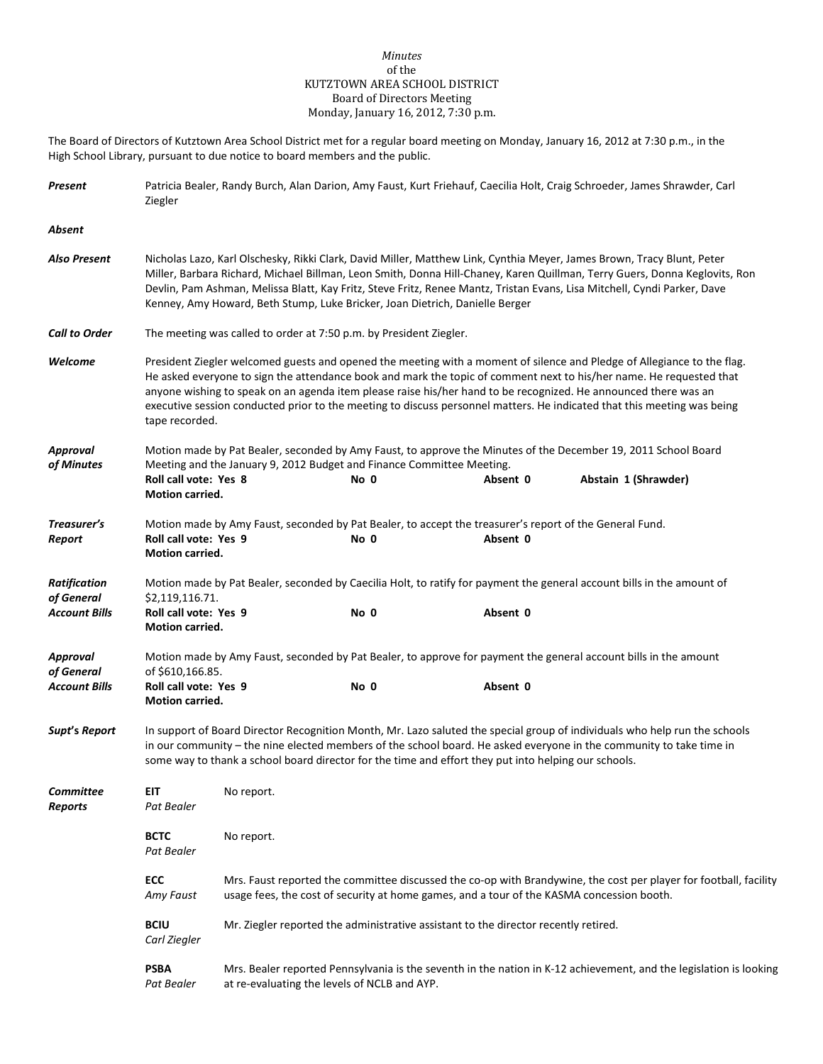## *Minutes* of the KUTZTOWN AREA SCHOOL DISTRICT Board of Directors Meeting Monday, January 16, 2012, 7:30 p.m.

The Board of Directors of Kutztown Area School District met for a regular board meeting on Monday, January 16, 2012 at 7:30 p.m., in the High School Library, pursuant to due notice to board members and the public.

| Present                            | Patricia Bealer, Randy Burch, Alan Darion, Amy Faust, Kurt Friehauf, Caecilia Holt, Craig Schroeder, James Shrawder, Carl<br>Ziegler                                                                                                                                                                                                                                                                                                                                                                           |                                                                    |                                                                               |                                                                                                                     |                                                                                                                        |  |  |  |  |
|------------------------------------|----------------------------------------------------------------------------------------------------------------------------------------------------------------------------------------------------------------------------------------------------------------------------------------------------------------------------------------------------------------------------------------------------------------------------------------------------------------------------------------------------------------|--------------------------------------------------------------------|-------------------------------------------------------------------------------|---------------------------------------------------------------------------------------------------------------------|------------------------------------------------------------------------------------------------------------------------|--|--|--|--|
| Absent                             |                                                                                                                                                                                                                                                                                                                                                                                                                                                                                                                |                                                                    |                                                                               |                                                                                                                     |                                                                                                                        |  |  |  |  |
| <b>Also Present</b>                | Nicholas Lazo, Karl Olschesky, Rikki Clark, David Miller, Matthew Link, Cynthia Meyer, James Brown, Tracy Blunt, Peter<br>Miller, Barbara Richard, Michael Billman, Leon Smith, Donna Hill-Chaney, Karen Quillman, Terry Guers, Donna Keglovits, Ron<br>Devlin, Pam Ashman, Melissa Blatt, Kay Fritz, Steve Fritz, Renee Mantz, Tristan Evans, Lisa Mitchell, Cyndi Parker, Dave<br>Kenney, Amy Howard, Beth Stump, Luke Bricker, Joan Dietrich, Danielle Berger                                               |                                                                    |                                                                               |                                                                                                                     |                                                                                                                        |  |  |  |  |
| <b>Call to Order</b>               |                                                                                                                                                                                                                                                                                                                                                                                                                                                                                                                | The meeting was called to order at 7:50 p.m. by President Ziegler. |                                                                               |                                                                                                                     |                                                                                                                        |  |  |  |  |
| Welcome                            | President Ziegler welcomed guests and opened the meeting with a moment of silence and Pledge of Allegiance to the flag.<br>He asked everyone to sign the attendance book and mark the topic of comment next to his/her name. He requested that<br>anyone wishing to speak on an agenda item please raise his/her hand to be recognized. He announced there was an<br>executive session conducted prior to the meeting to discuss personnel matters. He indicated that this meeting was being<br>tape recorded. |                                                                    |                                                                               |                                                                                                                     |                                                                                                                        |  |  |  |  |
| Approval                           |                                                                                                                                                                                                                                                                                                                                                                                                                                                                                                                |                                                                    |                                                                               |                                                                                                                     | Motion made by Pat Bealer, seconded by Amy Faust, to approve the Minutes of the December 19, 2011 School Board         |  |  |  |  |
| of Minutes                         | Roll call vote: Yes 8<br>Motion carried.                                                                                                                                                                                                                                                                                                                                                                                                                                                                       |                                                                    | Meeting and the January 9, 2012 Budget and Finance Committee Meeting.<br>No 0 | Absent 0                                                                                                            | Abstain 1 (Shrawder)                                                                                                   |  |  |  |  |
| Treasurer's<br>Report              | Roll call vote: Yes 9<br><b>Motion carried.</b>                                                                                                                                                                                                                                                                                                                                                                                                                                                                |                                                                    | No 0                                                                          | Motion made by Amy Faust, seconded by Pat Bealer, to accept the treasurer's report of the General Fund.<br>Absent 0 |                                                                                                                        |  |  |  |  |
| <b>Ratification</b>                |                                                                                                                                                                                                                                                                                                                                                                                                                                                                                                                |                                                                    |                                                                               |                                                                                                                     | Motion made by Pat Bealer, seconded by Caecilia Holt, to ratify for payment the general account bills in the amount of |  |  |  |  |
| of General<br><b>Account Bills</b> | \$2,119,116.71.<br>Roll call vote: Yes 9<br>Motion carried.                                                                                                                                                                                                                                                                                                                                                                                                                                                    |                                                                    | No 0                                                                          | Absent 0                                                                                                            |                                                                                                                        |  |  |  |  |
| <b>Approval</b><br>of General      | of \$610,166.85.                                                                                                                                                                                                                                                                                                                                                                                                                                                                                               |                                                                    |                                                                               | Motion made by Amy Faust, seconded by Pat Bealer, to approve for payment the general account bills in the amount    |                                                                                                                        |  |  |  |  |
| <b>Account Bills</b>               | Roll call vote: Yes 9<br>Motion carried.                                                                                                                                                                                                                                                                                                                                                                                                                                                                       |                                                                    | No 0                                                                          | Absent 0                                                                                                            |                                                                                                                        |  |  |  |  |
| Supt's Report                      | In support of Board Director Recognition Month, Mr. Lazo saluted the special group of individuals who help run the schools<br>in our community – the nine elected members of the school board. He asked everyone in the community to take time in<br>some way to thank a school board director for the time and effort they put into helping our schools.                                                                                                                                                      |                                                                    |                                                                               |                                                                                                                     |                                                                                                                        |  |  |  |  |
| Committee<br><b>Reports</b>        | EIT<br>Pat Bealer                                                                                                                                                                                                                                                                                                                                                                                                                                                                                              | No report.                                                         |                                                                               |                                                                                                                     |                                                                                                                        |  |  |  |  |
|                                    | <b>BCTC</b><br>Pat Bealer                                                                                                                                                                                                                                                                                                                                                                                                                                                                                      | No report.                                                         |                                                                               |                                                                                                                     |                                                                                                                        |  |  |  |  |
|                                    | ECC<br>Amy Faust                                                                                                                                                                                                                                                                                                                                                                                                                                                                                               |                                                                    |                                                                               | usage fees, the cost of security at home games, and a tour of the KASMA concession booth.                           | Mrs. Faust reported the committee discussed the co-op with Brandywine, the cost per player for football, facility      |  |  |  |  |
|                                    | <b>BCIU</b><br>Carl Ziegler                                                                                                                                                                                                                                                                                                                                                                                                                                                                                    |                                                                    |                                                                               | Mr. Ziegler reported the administrative assistant to the director recently retired.                                 |                                                                                                                        |  |  |  |  |
|                                    | <b>PSBA</b><br>Pat Bealer                                                                                                                                                                                                                                                                                                                                                                                                                                                                                      |                                                                    | at re-evaluating the levels of NCLB and AYP.                                  |                                                                                                                     | Mrs. Bealer reported Pennsylvania is the seventh in the nation in K-12 achievement, and the legislation is looking     |  |  |  |  |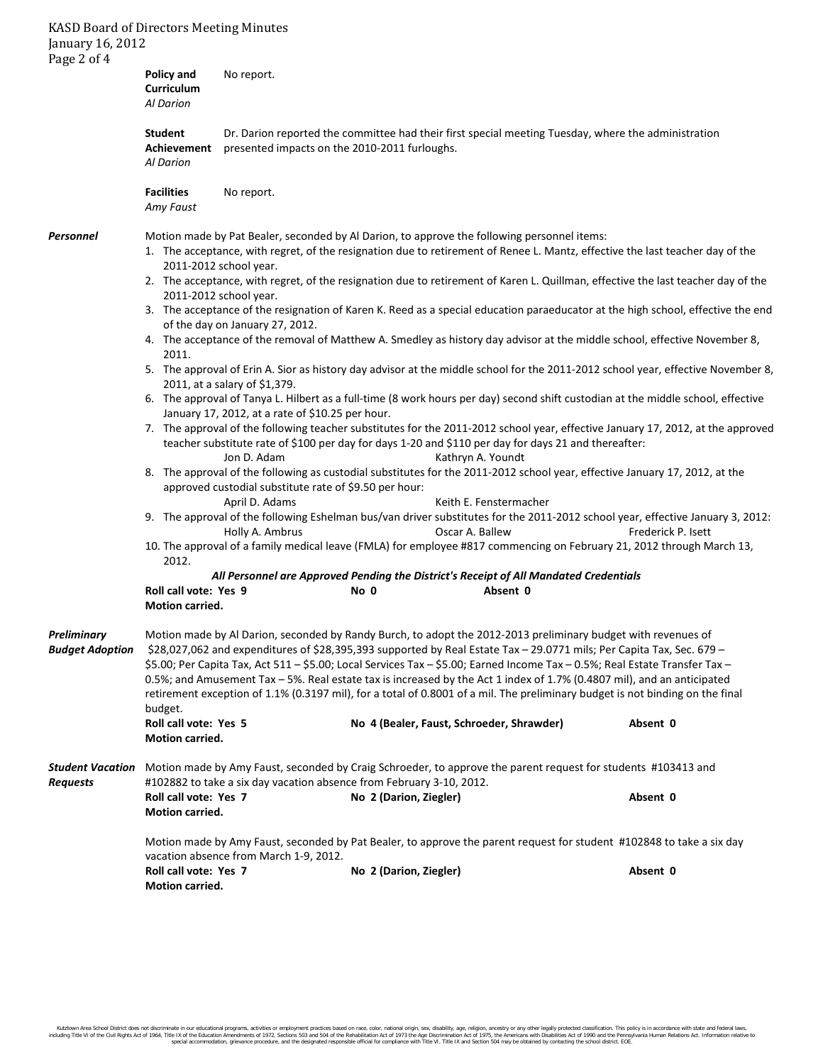## KASD Board of Directors Meeting Minutes January 16, 2012

| Page 2 of 4                           | <b>Policy and</b><br>Curriculum<br>Al Darion                                                                                                                                                                                                                                                                                                                                                                                                                                                                                                                                                                                                                                                                                                     | No report.                                                                                                                                                                                                                                                   |                                                                                                                                                                                                                                                                                                                                                                                                                                                                                                                                                                                                                                                                                                                                                                                                                                                                                                                                                                                                                                                                     |                                                                                                                       |                                                                                                                                                                                                                                                                                                                                                                                                                                                                                                                                                                |          |  |
|---------------------------------------|--------------------------------------------------------------------------------------------------------------------------------------------------------------------------------------------------------------------------------------------------------------------------------------------------------------------------------------------------------------------------------------------------------------------------------------------------------------------------------------------------------------------------------------------------------------------------------------------------------------------------------------------------------------------------------------------------------------------------------------------------|--------------------------------------------------------------------------------------------------------------------------------------------------------------------------------------------------------------------------------------------------------------|---------------------------------------------------------------------------------------------------------------------------------------------------------------------------------------------------------------------------------------------------------------------------------------------------------------------------------------------------------------------------------------------------------------------------------------------------------------------------------------------------------------------------------------------------------------------------------------------------------------------------------------------------------------------------------------------------------------------------------------------------------------------------------------------------------------------------------------------------------------------------------------------------------------------------------------------------------------------------------------------------------------------------------------------------------------------|-----------------------------------------------------------------------------------------------------------------------|----------------------------------------------------------------------------------------------------------------------------------------------------------------------------------------------------------------------------------------------------------------------------------------------------------------------------------------------------------------------------------------------------------------------------------------------------------------------------------------------------------------------------------------------------------------|----------|--|
|                                       | <b>Student</b><br>Achievement<br>presented impacts on the 2010-2011 furloughs.<br>Al Darion                                                                                                                                                                                                                                                                                                                                                                                                                                                                                                                                                                                                                                                      |                                                                                                                                                                                                                                                              | Dr. Darion reported the committee had their first special meeting Tuesday, where the administration                                                                                                                                                                                                                                                                                                                                                                                                                                                                                                                                                                                                                                                                                                                                                                                                                                                                                                                                                                 |                                                                                                                       |                                                                                                                                                                                                                                                                                                                                                                                                                                                                                                                                                                |          |  |
|                                       | <b>Facilities</b><br>Amy Faust                                                                                                                                                                                                                                                                                                                                                                                                                                                                                                                                                                                                                                                                                                                   | No report.                                                                                                                                                                                                                                                   |                                                                                                                                                                                                                                                                                                                                                                                                                                                                                                                                                                                                                                                                                                                                                                                                                                                                                                                                                                                                                                                                     |                                                                                                                       |                                                                                                                                                                                                                                                                                                                                                                                                                                                                                                                                                                |          |  |
| <b>Personnel</b>                      | 2011-2012 school year.<br>2011.                                                                                                                                                                                                                                                                                                                                                                                                                                                                                                                                                                                                                                                                                                                  | 2011-2012 school year.<br>of the day on January 27, 2012.<br>2011, at a salary of \$1,379.<br>January 17, 2012, at a rate of \$10.25 per hour.<br>Jon D. Adam<br>approved custodial substitute rate of \$9.50 per hour:<br>April D. Adams<br>Holly A. Ambrus | Motion made by Pat Bealer, seconded by Al Darion, to approve the following personnel items:<br>1. The acceptance, with regret, of the resignation due to retirement of Renee L. Mantz, effective the last teacher day of the<br>2. The acceptance, with regret, of the resignation due to retirement of Karen L. Quillman, effective the last teacher day of the<br>4. The acceptance of the removal of Matthew A. Smedley as history day advisor at the middle school, effective November 8,<br>6. The approval of Tanya L. Hilbert as a full-time (8 work hours per day) second shift custodian at the middle school, effective<br>teacher substitute rate of \$100 per day for days 1-20 and \$110 per day for days 21 and thereafter:<br>Kathryn A. Youndt<br>8. The approval of the following as custodial substitutes for the 2011-2012 school year, effective January 17, 2012, at the<br>Keith E. Fenstermacher<br>Oscar A. Ballew<br>10. The approval of a family medical leave (FMLA) for employee #817 commencing on February 21, 2012 through March 13, |                                                                                                                       | 3. The acceptance of the resignation of Karen K. Reed as a special education paraeducator at the high school, effective the end<br>5. The approval of Erin A. Sior as history day advisor at the middle school for the 2011-2012 school year, effective November 8,<br>7. The approval of the following teacher substitutes for the 2011-2012 school year, effective January 17, 2012, at the approved<br>9. The approval of the following Eshelman bus/van driver substitutes for the 2011-2012 school year, effective January 3, 2012:<br>Frederick P. Isett |          |  |
|                                       | 2012.                                                                                                                                                                                                                                                                                                                                                                                                                                                                                                                                                                                                                                                                                                                                            |                                                                                                                                                                                                                                                              |                                                                                                                                                                                                                                                                                                                                                                                                                                                                                                                                                                                                                                                                                                                                                                                                                                                                                                                                                                                                                                                                     | All Personnel are Approved Pending the District's Receipt of All Mandated Credentials                                 |                                                                                                                                                                                                                                                                                                                                                                                                                                                                                                                                                                |          |  |
|                                       | Roll call vote: Yes 9<br>Motion carried.                                                                                                                                                                                                                                                                                                                                                                                                                                                                                                                                                                                                                                                                                                         |                                                                                                                                                                                                                                                              | No 0                                                                                                                                                                                                                                                                                                                                                                                                                                                                                                                                                                                                                                                                                                                                                                                                                                                                                                                                                                                                                                                                | Absent 0                                                                                                              |                                                                                                                                                                                                                                                                                                                                                                                                                                                                                                                                                                |          |  |
| Preliminary<br><b>Budaet Adoption</b> | Motion made by Al Darion, seconded by Randy Burch, to adopt the 2012-2013 preliminary budget with revenues of<br>\$28,027,062 and expenditures of \$28,395,393 supported by Real Estate Tax - 29.0771 mils; Per Capita Tax, Sec. 679 -<br>\$5.00; Per Capita Tax, Act 511 - \$5.00; Local Services Tax - \$5.00; Earned Income Tax - 0.5%; Real Estate Transfer Tax -<br>0.5%; and Amusement Tax - 5%. Real estate tax is increased by the Act 1 index of 1.7% (0.4807 mil), and an anticipated<br>retirement exception of 1.1% (0.3197 mil), for a total of 0.8001 of a mil. The preliminary budget is not binding on the final<br>budget.<br>Roll call vote: Yes 5<br>No 4 (Bealer, Faust, Schroeder, Shrawder)<br>Absent 0<br>Motion carried. |                                                                                                                                                                                                                                                              |                                                                                                                                                                                                                                                                                                                                                                                                                                                                                                                                                                                                                                                                                                                                                                                                                                                                                                                                                                                                                                                                     |                                                                                                                       |                                                                                                                                                                                                                                                                                                                                                                                                                                                                                                                                                                |          |  |
| <b>Student Vacation</b><br>Requests   | Roll call vote: Yes 7<br>Motion carried.                                                                                                                                                                                                                                                                                                                                                                                                                                                                                                                                                                                                                                                                                                         | #102882 to take a six day vacation absence from February 3-10, 2012.                                                                                                                                                                                         | No 2 (Darion, Ziegler)                                                                                                                                                                                                                                                                                                                                                                                                                                                                                                                                                                                                                                                                                                                                                                                                                                                                                                                                                                                                                                              | Motion made by Amy Faust, seconded by Craig Schroeder, to approve the parent request for students #103413 and         |                                                                                                                                                                                                                                                                                                                                                                                                                                                                                                                                                                | Absent 0 |  |
|                                       | Roll call vote: Yes 7<br>Motion carried.                                                                                                                                                                                                                                                                                                                                                                                                                                                                                                                                                                                                                                                                                                         | vacation absence from March 1-9, 2012.                                                                                                                                                                                                                       | No 2 (Darion, Ziegler)                                                                                                                                                                                                                                                                                                                                                                                                                                                                                                                                                                                                                                                                                                                                                                                                                                                                                                                                                                                                                                              | Motion made by Amy Faust, seconded by Pat Bealer, to approve the parent request for student #102848 to take a six day |                                                                                                                                                                                                                                                                                                                                                                                                                                                                                                                                                                | Absent 0 |  |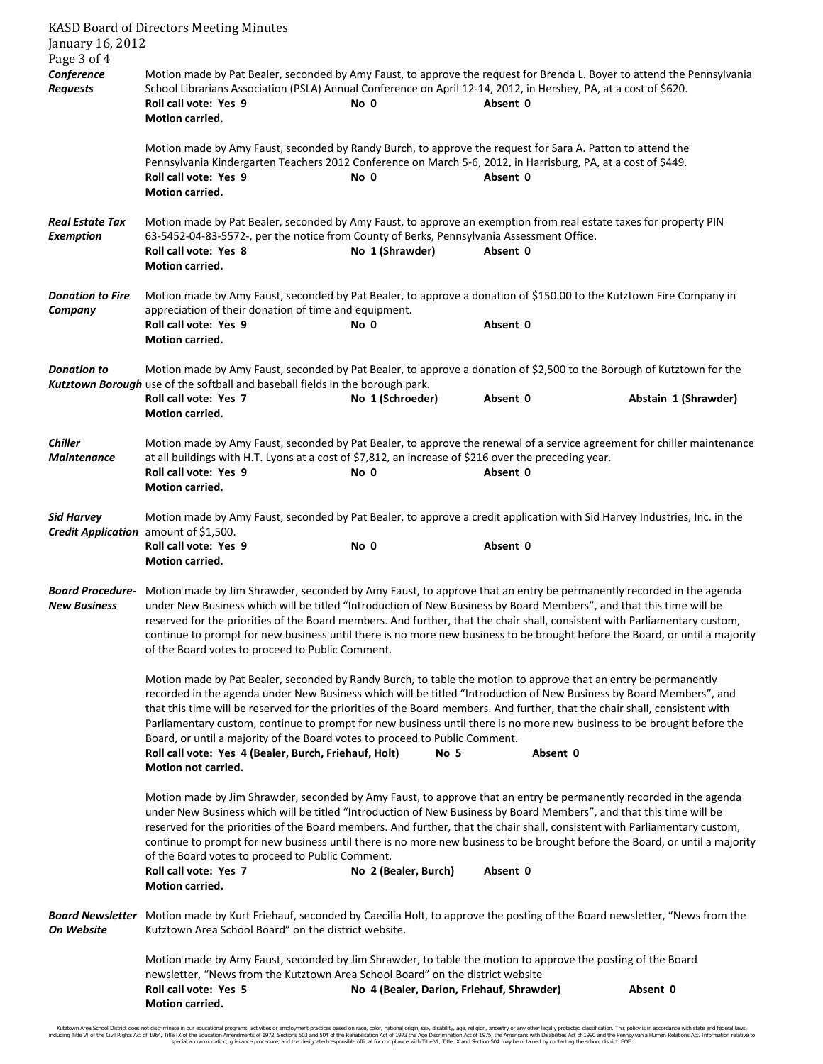| January 16, 2012<br>Page 3 of 4                | <b>KASD Board of Directors Meeting Minutes</b>                                                                                                                                                                                                                                                                                                                                                                                                                                                                                                                                                                                                                                     |                                                                                                                                                                                                                                                                 |          |                      |  |  |  |  |
|------------------------------------------------|------------------------------------------------------------------------------------------------------------------------------------------------------------------------------------------------------------------------------------------------------------------------------------------------------------------------------------------------------------------------------------------------------------------------------------------------------------------------------------------------------------------------------------------------------------------------------------------------------------------------------------------------------------------------------------|-----------------------------------------------------------------------------------------------------------------------------------------------------------------------------------------------------------------------------------------------------------------|----------|----------------------|--|--|--|--|
| Conference<br><b>Requests</b>                  | Roll call vote: Yes 9<br>Motion carried.                                                                                                                                                                                                                                                                                                                                                                                                                                                                                                                                                                                                                                           | Motion made by Pat Bealer, seconded by Amy Faust, to approve the request for Brenda L. Boyer to attend the Pennsylvania<br>School Librarians Association (PSLA) Annual Conference on April 12-14, 2012, in Hershey, PA, at a cost of \$620.<br>No 0<br>Absent 0 |          |                      |  |  |  |  |
|                                                | Motion made by Amy Faust, seconded by Randy Burch, to approve the request for Sara A. Patton to attend the<br>Pennsylvania Kindergarten Teachers 2012 Conference on March 5-6, 2012, in Harrisburg, PA, at a cost of \$449.<br>Roll call vote: Yes 9<br>Motion carried.                                                                                                                                                                                                                                                                                                                                                                                                            | No 0                                                                                                                                                                                                                                                            | Absent 0 |                      |  |  |  |  |
| Real Estate Tax<br><b>Exemption</b>            | Motion made by Pat Bealer, seconded by Amy Faust, to approve an exemption from real estate taxes for property PIN<br>63-5452-04-83-5572-, per the notice from County of Berks, Pennsylvania Assessment Office.<br>Roll call vote: Yes 8<br><b>Motion carried.</b>                                                                                                                                                                                                                                                                                                                                                                                                                  | No 1 (Shrawder)                                                                                                                                                                                                                                                 | Absent 0 |                      |  |  |  |  |
| <b>Donation to Fire</b><br>Company             | Motion made by Amy Faust, seconded by Pat Bealer, to approve a donation of \$150.00 to the Kutztown Fire Company in<br>appreciation of their donation of time and equipment.<br>Roll call vote: Yes 9<br><b>Motion carried.</b>                                                                                                                                                                                                                                                                                                                                                                                                                                                    | No 0                                                                                                                                                                                                                                                            | Absent 0 |                      |  |  |  |  |
| <b>Donation to</b>                             | Motion made by Amy Faust, seconded by Pat Bealer, to approve a donation of \$2,500 to the Borough of Kutztown for the<br>Kutztown Borough use of the softball and baseball fields in the borough park.<br>Roll call vote: Yes 7<br><b>Motion carried.</b>                                                                                                                                                                                                                                                                                                                                                                                                                          | No 1 (Schroeder)                                                                                                                                                                                                                                                | Absent 0 | Abstain 1 (Shrawder) |  |  |  |  |
| <b>Chiller</b><br><b>Maintenance</b>           | Motion made by Amy Faust, seconded by Pat Bealer, to approve the renewal of a service agreement for chiller maintenance<br>at all buildings with H.T. Lyons at a cost of \$7,812, an increase of \$216 over the preceding year.<br>Roll call vote: Yes 9<br>Motion carried.                                                                                                                                                                                                                                                                                                                                                                                                        | No 0                                                                                                                                                                                                                                                            | Absent 0 |                      |  |  |  |  |
| <b>Sid Harvey</b>                              | Motion made by Amy Faust, seconded by Pat Bealer, to approve a credit application with Sid Harvey Industries, Inc. in the<br>Credit Application amount of \$1,500.                                                                                                                                                                                                                                                                                                                                                                                                                                                                                                                 |                                                                                                                                                                                                                                                                 |          |                      |  |  |  |  |
|                                                | Roll call vote: Yes 9<br><b>Motion carried.</b>                                                                                                                                                                                                                                                                                                                                                                                                                                                                                                                                                                                                                                    | No 0                                                                                                                                                                                                                                                            | Absent 0 |                      |  |  |  |  |
| <b>Board Procedure-</b><br><b>New Business</b> | Motion made by Jim Shrawder, seconded by Amy Faust, to approve that an entry be permanently recorded in the agenda<br>under New Business which will be titled "Introduction of New Business by Board Members", and that this time will be<br>reserved for the priorities of the Board members. And further, that the chair shall, consistent with Parliamentary custom,<br>continue to prompt for new business until there is no more new business to be brought before the Board, or until a majority<br>of the Board votes to proceed to Public Comment.                                                                                                                         |                                                                                                                                                                                                                                                                 |          |                      |  |  |  |  |
|                                                | Motion made by Pat Bealer, seconded by Randy Burch, to table the motion to approve that an entry be permanently<br>recorded in the agenda under New Business which will be titled "Introduction of New Business by Board Members", and<br>that this time will be reserved for the priorities of the Board members. And further, that the chair shall, consistent with<br>Parliamentary custom, continue to prompt for new business until there is no more new business to be brought before the<br>Board, or until a majority of the Board votes to proceed to Public Comment.<br>Roll call vote: Yes 4 (Bealer, Burch, Friehauf, Holt)<br>Absent 0<br>No 5<br>Motion not carried. |                                                                                                                                                                                                                                                                 |          |                      |  |  |  |  |
|                                                | Motion made by Jim Shrawder, seconded by Amy Faust, to approve that an entry be permanently recorded in the agenda<br>under New Business which will be titled "Introduction of New Business by Board Members", and that this time will be<br>reserved for the priorities of the Board members. And further, that the chair shall, consistent with Parliamentary custom,<br>continue to prompt for new business until there is no more new business to be brought before the Board, or until a majority<br>of the Board votes to proceed to Public Comment.<br>Roll call vote: Yes 7<br>Motion carried.                                                                             | No 2 (Bealer, Burch)                                                                                                                                                                                                                                            | Absent 0 |                      |  |  |  |  |
| On Website                                     | Board Newsletter Motion made by Kurt Friehauf, seconded by Caecilia Holt, to approve the posting of the Board newsletter, "News from the<br>Kutztown Area School Board" on the district website.                                                                                                                                                                                                                                                                                                                                                                                                                                                                                   |                                                                                                                                                                                                                                                                 |          |                      |  |  |  |  |
|                                                | Motion made by Amy Faust, seconded by Jim Shrawder, to table the motion to approve the posting of the Board<br>newsletter, "News from the Kutztown Area School Board" on the district website<br>Roll call vote: Yes 5<br>Motion carried.                                                                                                                                                                                                                                                                                                                                                                                                                                          | No 4 (Bealer, Darion, Friehauf, Shrawder)                                                                                                                                                                                                                       |          | Absent 0             |  |  |  |  |

Kutztown Area School District does not discriminate in our educational programs, activities or employment practices based on race, color, national orgion, ance, althan ances in methan on entergy or and finderal laws,<br>Inclu